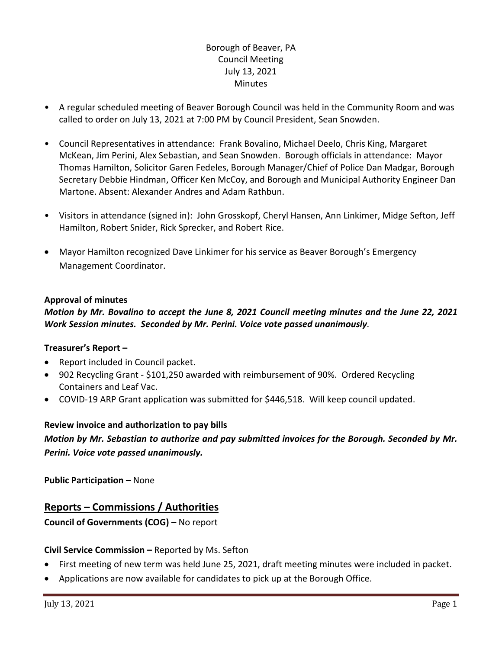# Borough of Beaver, PA Council Meeting July 13, 2021 Minutes

- A regular scheduled meeting of Beaver Borough Council was held in the Community Room and was called to order on July 13, 2021 at 7:00 PM by Council President, Sean Snowden.
- Council Representatives in attendance: Frank Bovalino, Michael Deelo, Chris King, Margaret McKean, Jim Perini, Alex Sebastian, and Sean Snowden. Borough officials in attendance: Mayor Thomas Hamilton, Solicitor Garen Fedeles, Borough Manager/Chief of Police Dan Madgar, Borough Secretary Debbie Hindman, Officer Ken McCoy, and Borough and Municipal Authority Engineer Dan Martone. Absent: Alexander Andres and Adam Rathbun.
- Visitors in attendance (signed in): John Grosskopf, Cheryl Hansen, Ann Linkimer, Midge Sefton, Jeff Hamilton, Robert Snider, Rick Sprecker, and Robert Rice.
- Mayor Hamilton recognized Dave Linkimer for his service as Beaver Borough's Emergency Management Coordinator.

### **Approval of minutes**

## *Motion by Mr. Bovalino to accept the June 8, 2021 Council meeting minutes and the June 22, 2021 Work Session minutes. Seconded by Mr. Perini. Voice vote passed unanimously.*

### **Treasurer's Report –**

- Report included in Council packet.
- 902 Recycling Grant \$101,250 awarded with reimbursement of 90%. Ordered Recycling Containers and Leaf Vac.
- COVID-19 ARP Grant application was submitted for \$446,518. Will keep council updated.

### **Review invoice and authorization to pay bills**

*Motion by Mr. Sebastian to authorize and pay submitted invoices for the Borough. Seconded by Mr. Perini. Voice vote passed unanimously.*

**Public Participation –** None

# **Reports – Commissions / Authorities**

**Council of Governments (COG) –** No report

### **Civil Service Commission –** Reported by Ms. Sefton

- First meeting of new term was held June 25, 2021, draft meeting minutes were included in packet.
- Applications are now available for candidates to pick up at the Borough Office.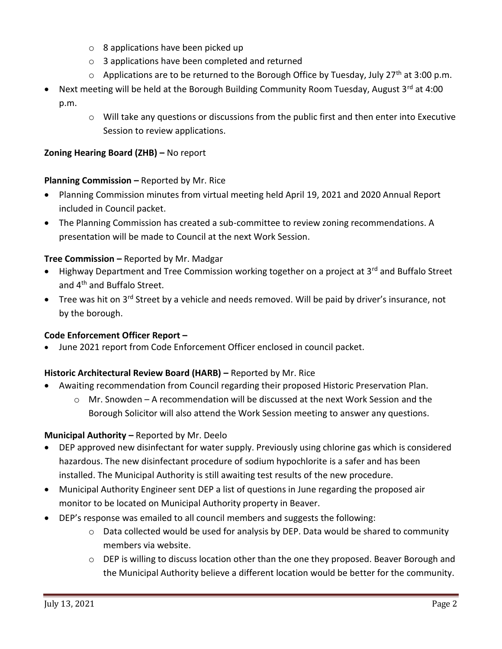- o 8 applications have been picked up
- o 3 applications have been completed and returned
- $\circ$  Applications are to be returned to the Borough Office by Tuesday, July 27<sup>th</sup> at 3:00 p.m.
- Next meeting will be held at the Borough Building Community Room Tuesday, August 3rd at 4:00 p.m.
	- o Will take any questions or discussions from the public first and then enter into Executive Session to review applications.

### **Zoning Hearing Board (ZHB) –** No report

### **Planning Commission –** Reported by Mr. Rice

- Planning Commission minutes from virtual meeting held April 19, 2021 and 2020 Annual Report included in Council packet.
- The Planning Commission has created a sub-committee to review zoning recommendations. A presentation will be made to Council at the next Work Session.

### **Tree Commission –** Reported by Mr. Madgar

- Highway Department and Tree Commission working together on a project at 3<sup>rd</sup> and Buffalo Street and 4<sup>th</sup> and Buffalo Street.
- Tree was hit on 3<sup>rd</sup> Street by a vehicle and needs removed. Will be paid by driver's insurance, not by the borough.

### **Code Enforcement Officer Report –**

June 2021 report from Code Enforcement Officer enclosed in council packet.

### **Historic Architectural Review Board (HARB) – Reported by Mr. Rice**

- Awaiting recommendation from Council regarding their proposed Historic Preservation Plan.
	- $\circ$  Mr. Snowden A recommendation will be discussed at the next Work Session and the Borough Solicitor will also attend the Work Session meeting to answer any questions.

## **Municipal Authority –** Reported by Mr. Deelo

- DEP approved new disinfectant for water supply. Previously using chlorine gas which is considered hazardous. The new disinfectant procedure of sodium hypochlorite is a safer and has been installed. The Municipal Authority is still awaiting test results of the new procedure.
- Municipal Authority Engineer sent DEP a list of questions in June regarding the proposed air monitor to be located on Municipal Authority property in Beaver.
- DEP's response was emailed to all council members and suggests the following:
	- o Data collected would be used for analysis by DEP. Data would be shared to community members via website.
	- $\circ$  DEP is willing to discuss location other than the one they proposed. Beaver Borough and the Municipal Authority believe a different location would be better for the community.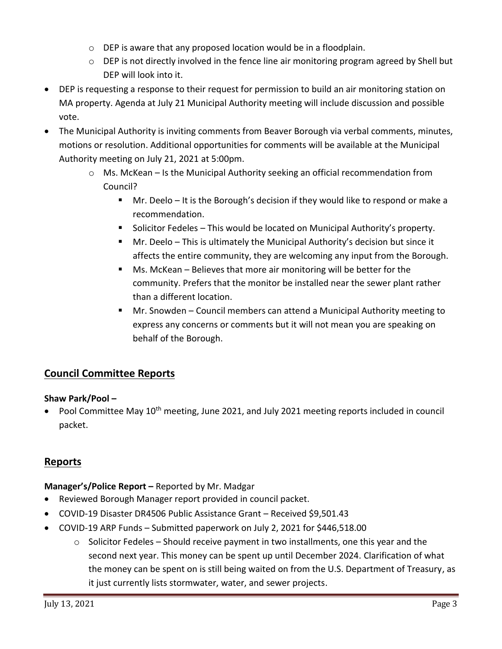- o DEP is aware that any proposed location would be in a floodplain.
- $\circ$  DEP is not directly involved in the fence line air monitoring program agreed by Shell but DEP will look into it.
- DEP is requesting a response to their request for permission to build an air monitoring station on MA property. Agenda at July 21 Municipal Authority meeting will include discussion and possible vote.
- The Municipal Authority is inviting comments from Beaver Borough via verbal comments, minutes, motions or resolution. Additional opportunities for comments will be available at the Municipal Authority meeting on July 21, 2021 at 5:00pm.
	- $\circ$  Ms. McKean Is the Municipal Authority seeking an official recommendation from Council?
		- Mr. Deelo It is the Borough's decision if they would like to respond or make a recommendation.
		- **Solicitor Fedeles This would be located on Municipal Authority's property.**
		- Mr. Deelo This is ultimately the Municipal Authority's decision but since it affects the entire community, they are welcoming any input from the Borough.
		- Ms. McKean Believes that more air monitoring will be better for the community. Prefers that the monitor be installed near the sewer plant rather than a different location.
		- Mr. Snowden Council members can attend a Municipal Authority meeting to express any concerns or comments but it will not mean you are speaking on behalf of the Borough.

# **Council Committee Reports**

## **Shaw Park/Pool –**

Pool Committee May 10<sup>th</sup> meeting, June 2021, and July 2021 meeting reports included in council packet.

# **Reports**

## **Manager's/Police Report –** Reported by Mr. Madgar

- Reviewed Borough Manager report provided in council packet.
- COVID-19 Disaster DR4506 Public Assistance Grant Received \$9,501.43
- COVID-19 ARP Funds Submitted paperwork on July 2, 2021 for \$446,518.00
	- $\circ$  Solicitor Fedeles Should receive payment in two installments, one this year and the second next year. This money can be spent up until December 2024. Clarification of what the money can be spent on is still being waited on from the U.S. Department of Treasury, as it just currently lists stormwater, water, and sewer projects.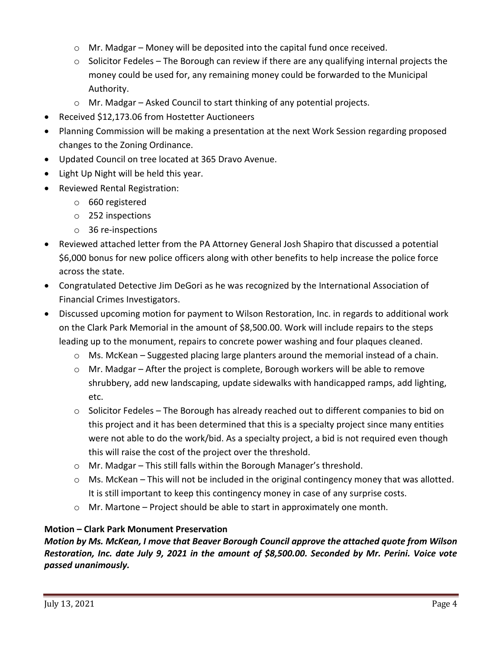- $\circ$  Mr. Madgar Money will be deposited into the capital fund once received.
- $\circ$  Solicitor Fedeles The Borough can review if there are any qualifying internal projects the money could be used for, any remaining money could be forwarded to the Municipal Authority.
- o Mr. Madgar Asked Council to start thinking of any potential projects.
- Received \$12,173.06 from Hostetter Auctioneers
- Planning Commission will be making a presentation at the next Work Session regarding proposed changes to the Zoning Ordinance.
- Updated Council on tree located at 365 Dravo Avenue.
- Light Up Night will be held this year.
- Reviewed Rental Registration:
	- o 660 registered
	- o 252 inspections
	- o 36 re-inspections
- Reviewed attached letter from the PA Attorney General Josh Shapiro that discussed a potential \$6,000 bonus for new police officers along with other benefits to help increase the police force across the state.
- Congratulated Detective Jim DeGori as he was recognized by the International Association of Financial Crimes Investigators.
- Discussed upcoming motion for payment to Wilson Restoration, Inc. in regards to additional work on the Clark Park Memorial in the amount of \$8,500.00. Work will include repairs to the steps leading up to the monument, repairs to concrete power washing and four plaques cleaned.
	- $\circ$  Ms. McKean Suggested placing large planters around the memorial instead of a chain.
	- o Mr. Madgar After the project is complete, Borough workers will be able to remove shrubbery, add new landscaping, update sidewalks with handicapped ramps, add lighting, etc.
	- $\circ$  Solicitor Fedeles The Borough has already reached out to different companies to bid on this project and it has been determined that this is a specialty project since many entities were not able to do the work/bid. As a specialty project, a bid is not required even though this will raise the cost of the project over the threshold.
	- o Mr. Madgar This still falls within the Borough Manager's threshold.
	- $\circ$  Ms. McKean This will not be included in the original contingency money that was allotted. It is still important to keep this contingency money in case of any surprise costs.
	- $\circ$  Mr. Martone Project should be able to start in approximately one month.

## **Motion – Clark Park Monument Preservation**

*Motion by Ms. McKean, I move that Beaver Borough Council approve the attached quote from Wilson Restoration, Inc. date July 9, 2021 in the amount of \$8,500.00. Seconded by Mr. Perini. Voice vote passed unanimously.*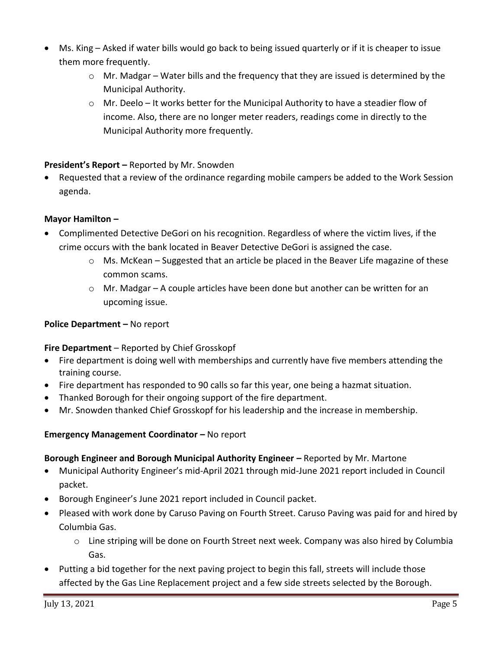- Ms. King Asked if water bills would go back to being issued quarterly or if it is cheaper to issue them more frequently.
	- $\circ$  Mr. Madgar Water bills and the frequency that they are issued is determined by the Municipal Authority.
	- o Mr. Deelo It works better for the Municipal Authority to have a steadier flow of income. Also, there are no longer meter readers, readings come in directly to the Municipal Authority more frequently.

# **President's Report –** Reported by Mr. Snowden

 Requested that a review of the ordinance regarding mobile campers be added to the Work Session agenda.

# **Mayor Hamilton –**

- Complimented Detective DeGori on his recognition. Regardless of where the victim lives, if the crime occurs with the bank located in Beaver Detective DeGori is assigned the case.
	- $\circ$  Ms. McKean Suggested that an article be placed in the Beaver Life magazine of these common scams.
	- o Mr. Madgar A couple articles have been done but another can be written for an upcoming issue.

## **Police Department – No report**

## **Fire Department** – Reported by Chief Grosskopf

- Fire department is doing well with memberships and currently have five members attending the training course.
- Fire department has responded to 90 calls so far this year, one being a hazmat situation.
- Thanked Borough for their ongoing support of the fire department.
- Mr. Snowden thanked Chief Grosskopf for his leadership and the increase in membership.

## **Emergency Management Coordinator –** No report

## **Borough Engineer and Borough Municipal Authority Engineer –** Reported by Mr. Martone

- Municipal Authority Engineer's mid-April 2021 through mid-June 2021 report included in Council packet.
- Borough Engineer's June 2021 report included in Council packet.
- Pleased with work done by Caruso Paving on Fourth Street. Caruso Paving was paid for and hired by Columbia Gas.
	- $\circ$  Line striping will be done on Fourth Street next week. Company was also hired by Columbia Gas.
- Putting a bid together for the next paving project to begin this fall, streets will include those affected by the Gas Line Replacement project and a few side streets selected by the Borough.